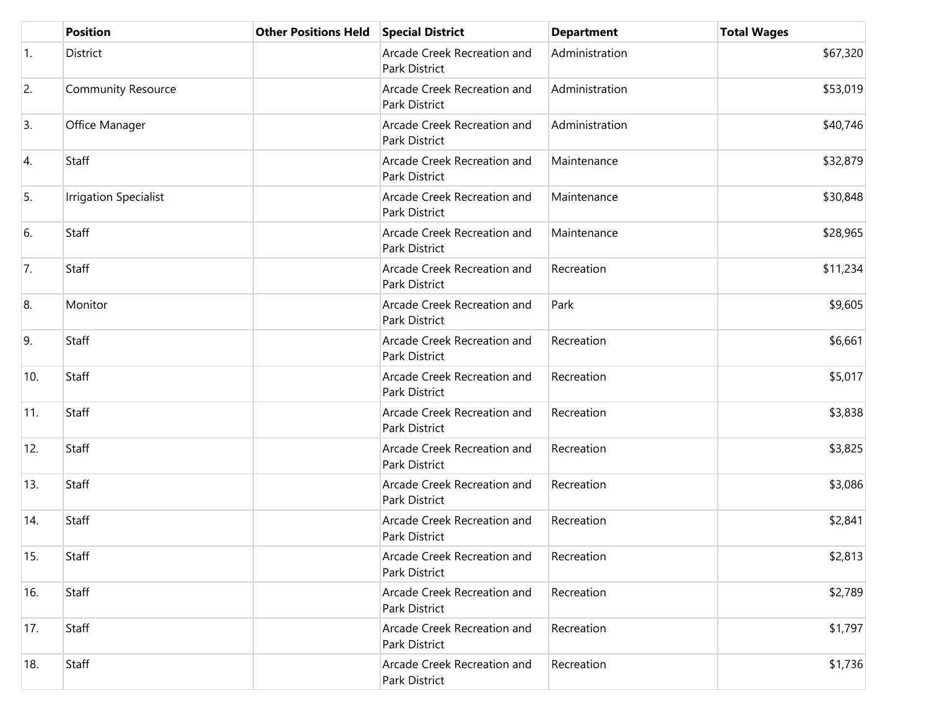|     | <b>Position</b>              | <b>Other Positions Held</b> | <b>Special District</b>                      | <b>Department</b> | <b>Total Wages</b> |
|-----|------------------------------|-----------------------------|----------------------------------------------|-------------------|--------------------|
| 1.  | District                     |                             | Arcade Creek Recreation and<br>Park District | Administration    | \$67,320           |
| 2.  | <b>Community Resource</b>    |                             | Arcade Creek Recreation and<br>Park District | Administration    | \$53,019           |
| 3.  | Office Manager               |                             | Arcade Creek Recreation and<br>Park District | Administration    | \$40,746           |
| 4.  | Staff                        |                             | Arcade Creek Recreation and<br>Park District | Maintenance       | \$32,879           |
| 5.  | <b>Irrigation Specialist</b> |                             | Arcade Creek Recreation and<br>Park District | Maintenance       | \$30,848           |
| 6.  | Staff                        |                             | Arcade Creek Recreation and<br>Park District | Maintenance       | \$28,965           |
| 7.  | Staff                        |                             | Arcade Creek Recreation and<br>Park District | Recreation        | \$11,234           |
| 8.  | Monitor                      |                             | Arcade Creek Recreation and<br>Park District | Park              | \$9,605            |
| 9.  | Staff                        |                             | Arcade Creek Recreation and<br>Park District | Recreation        | \$6,661            |
| 10. | Staff                        |                             | Arcade Creek Recreation and<br>Park District | Recreation        | \$5,017            |
| 11. | Staff                        |                             | Arcade Creek Recreation and<br>Park District | Recreation        | \$3,838            |
| 12. | Staff                        |                             | Arcade Creek Recreation and<br>Park District | Recreation        | \$3,825            |
| 13. | Staff                        |                             | Arcade Creek Recreation and<br>Park District | Recreation        | \$3,086            |
| 14. | Staff                        |                             | Arcade Creek Recreation and<br>Park District | Recreation        | \$2,841            |
| 15. | Staff                        |                             | Arcade Creek Recreation and<br>Park District | Recreation        | \$2,813            |
| 16. | Staff                        |                             | Arcade Creek Recreation and<br>Park District | Recreation        | \$2,789            |
| 17. | Staff                        |                             | Arcade Creek Recreation and<br>Park District | Recreation        | \$1,797            |
| 18. | Staff                        |                             | Arcade Creek Recreation and<br>Park District | Recreation        | \$1,736            |